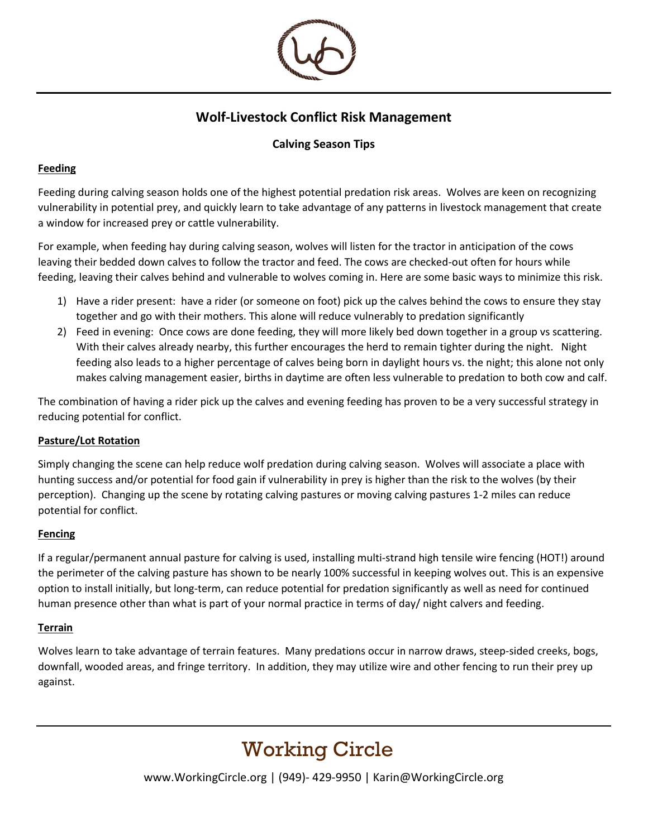

# **Wolf-Livestock Conflict Risk Management**

# **Calving Season Tips**

### **Feeding**

Feeding during calving season holds one of the highest potential predation risk areas. Wolves are keen on recognizing vulnerability in potential prey, and quickly learn to take advantage of any patterns in livestock management that create a window for increased prey or cattle vulnerability.

For example, when feeding hay during calving season, wolves will listen for the tractor in anticipation of the cows leaving their bedded down calves to follow the tractor and feed. The cows are checked-out often for hours while feeding, leaving their calves behind and vulnerable to wolves coming in. Here are some basic ways to minimize this risk.

- 1) Have a rider present: have a rider (or someone on foot) pick up the calves behind the cows to ensure they stay together and go with their mothers. This alone will reduce vulnerably to predation significantly
- 2) Feed in evening: Once cows are done feeding, they will more likely bed down together in a group vs scattering. With their calves already nearby, this further encourages the herd to remain tighter during the night. Night feeding also leads to a higher percentage of calves being born in daylight hours vs. the night; this alone not only makes calving management easier, births in daytime are often less vulnerable to predation to both cow and calf.

The combination of having a rider pick up the calves and evening feeding has proven to be a very successful strategy in reducing potential for conflict.

### **Pasture/Lot Rotation**

Simply changing the scene can help reduce wolf predation during calving season. Wolves will associate a place with hunting success and/or potential for food gain if vulnerability in prey is higher than the risk to the wolves (by their perception). Changing up the scene by rotating calving pastures or moving calving pastures 1-2 miles can reduce potential for conflict.

### **Fencing**

If a regular/permanent annual pasture for calving is used, installing multi-strand high tensile wire fencing (HOT!) around the perimeter of the calving pasture has shown to be nearly 100% successful in keeping wolves out. This is an expensive option to install initially, but long-term, can reduce potential for predation significantly as well as need for continued human presence other than what is part of your normal practice in terms of day/ night calvers and feeding.

## **Terrain**

Wolves learn to take advantage of terrain features. Many predations occur in narrow draws, steep-sided creeks, bogs, downfall, wooded areas, and fringe territory. In addition, they may utilize wire and other fencing to run their prey up against.

# Working Circle

[www.WorkingCircle.org](http://www.workingcircle.org/) | (949)- 429-9950 [| Karin@WorkingCircle.org](mailto:%7C%20Karin@WorkingCircle.org)